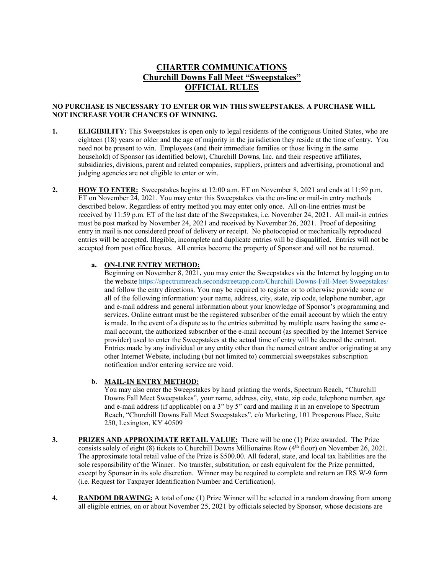# **CHARTER COMMUNICATIONS Churchill Downs Fall Meet "Sweepstakes" OFFICIAL RULES**

### **NO PURCHASE IS NECESSARY TO ENTER OR WIN THIS SWEEPSTAKES. A PURCHASE WILL NOT INCREASE YOUR CHANCES OF WINNING.**

- **1. ELIGIBILITY:** This Sweepstakes is open only to legal residents of the contiguous United States, who are eighteen (18) years or older and the age of majority in the jurisdiction they reside at the time of entry. You need not be present to win. Employees (and their immediate families or those living in the same household) of Sponsor (as identified below), Churchill Downs, Inc. and their respective affiliates, subsidiaries, divisions, parent and related companies, suppliers, printers and advertising, promotional and judging agencies are not eligible to enter or win.
- **2. HOW TO ENTER:** Sweepstakes begins at 12:00 a.m. ET on November 8, 2021 and ends at 11:59 p.m. ET on November 24, 2021. You may enter this Sweepstakes via the on-line or mail-in entry methods described below. Regardless of entry method you may enter only once. All on-line entries must be received by 11:59 p.m. ET of the last date of the Sweepstakes, i.e. November 24, 2021. All mail-in entries must be post marked by November 24, 2021 and received by November 26, 2021. Proof of depositing entry in mail is not considered proof of delivery or receipt. No photocopied or mechanically reproduced entries will be accepted. Illegible, incomplete and duplicate entries will be disqualified. Entries will not be accepted from post office boxes. All entries become the property of Sponsor and will not be returned.

#### **a. ON-LINE ENTRY METHOD:**

Beginning on November 8, 2021**,** you may enter the Sweepstakes via the Internet by logging on to the **w**ebsite <https://spectrumreach.secondstreetapp.com/Churchill-Downs-Fall-Meet-Sweepstakes/> and follow the entry directions. You may be required to register or to otherwise provide some or all of the following information: your name, address, city, state, zip code, telephone number, age and e-mail address and general information about your knowledge of Sponsor's programming and services. Online entrant must be the registered subscriber of the email account by which the entry is made. In the event of a dispute as to the entries submitted by multiple users having the same email account, the authorized subscriber of the e-mail account (as specified by the Internet Service provider) used to enter the Sweepstakes at the actual time of entry will be deemed the entrant. Entries made by any individual or any entity other than the named entrant and/or originating at any other Internet Website, including (but not limited to) commercial sweepstakes subscription notification and/or entering service are void.

#### **b. MAIL-IN ENTRY METHOD:**

You may also enter the Sweepstakes by hand printing the words, Spectrum Reach, "Churchill Downs Fall Meet Sweepstakes", your name, address, city, state, zip code, telephone number, age and e-mail address (if applicable) on a 3" by 5" card and mailing it in an envelope to Spectrum Reach, "Churchill Downs Fall Meet Sweepstakes", c/o Marketing, 101 Prosperous Place, Suite 250, Lexington, KY 40509

- **3. PRIZES AND APPROXIMATE RETAIL VALUE:** There will be one (1) Prize awarded. The Prize consists solely of eight (8) tickets to Churchill Downs Millionaires Row  $(4<sup>th</sup>$  floor) on November 26, 2021. The approximate total retail value of the Prize is \$500.00. All federal, state, and local tax liabilities are the sole responsibility of the Winner. No transfer, substitution, or cash equivalent for the Prize permitted, except by Sponsor in its sole discretion. Winner may be required to complete and return an IRS W-9 form (i.e. Request for Taxpayer Identification Number and Certification).
- **4. RANDOM DRAWING:** A total of one (1) Prize Winner will be selected in a random drawing from among all eligible entries, on or about November 25, 2021 by officials selected by Sponsor, whose decisions are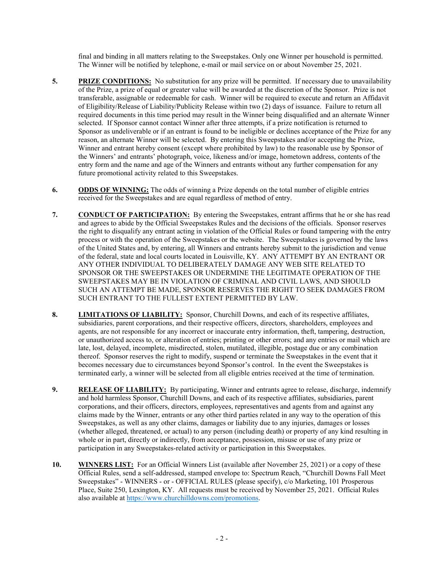final and binding in all matters relating to the Sweepstakes. Only one Winner per household is permitted. The Winner will be notified by telephone, e-mail or mail service on or about November 25, 2021.

- **5. PRIZE CONDITIONS:** No substitution for any prize will be permitted. If necessary due to unavailability of the Prize, a prize of equal or greater value will be awarded at the discretion of the Sponsor. Prize is not transferable, assignable or redeemable for cash. Winner will be required to execute and return an Affidavit of Eligibility/Release of Liability/Publicity Release within two (2) days of issuance. Failure to return all required documents in this time period may result in the Winner being disqualified and an alternate Winner selected. If Sponsor cannot contact Winner after three attempts, if a prize notification is returned to Sponsor as undeliverable or if an entrant is found to be ineligible or declines acceptance of the Prize for any reason, an alternate Winner will be selected. By entering this Sweepstakes and/or accepting the Prize, Winner and entrant hereby consent (except where prohibited by law) to the reasonable use by Sponsor of the Winners' and entrants' photograph, voice, likeness and/or image, hometown address, contents of the entry form and the name and age of the Winners and entrants without any further compensation for any future promotional activity related to this Sweepstakes.
- **6. ODDS OF WINNING:** The odds of winning a Prize depends on the total number of eligible entries received for the Sweepstakes and are equal regardless of method of entry.
- **7. CONDUCT OF PARTICIPATION:** By entering the Sweepstakes, entrant affirms that he or she has read and agrees to abide by the Official Sweepstakes Rules and the decisions of the officials. Sponsor reserves the right to disqualify any entrant acting in violation of the Official Rules or found tampering with the entry process or with the operation of the Sweepstakes or the website. The Sweepstakes is governed by the laws of the United States and, by entering, all Winners and entrants hereby submit to the jurisdiction and venue of the federal, state and local courts located in Louisville, KY. ANY ATTEMPT BY AN ENTRANT OR ANY OTHER INDIVIDUAL TO DELIBERATELY DAMAGE ANY WEB SITE RELATED TO SPONSOR OR THE SWEEPSTAKES OR UNDERMINE THE LEGITIMATE OPERATION OF THE SWEEPSTAKES MAY BE IN VIOLATION OF CRIMINAL AND CIVIL LAWS, AND SHOULD SUCH AN ATTEMPT BE MADE, SPONSOR RESERVES THE RIGHT TO SEEK DAMAGES FROM SUCH ENTRANT TO THE FULLEST EXTENT PERMITTED BY LAW.
- **8. LIMITATIONS OF LIABILITY:** Sponsor, Churchill Downs, and each of its respective affiliates, subsidiaries, parent corporations, and their respective officers, directors, shareholders, employees and agents, are not responsible for any incorrect or inaccurate entry information, theft, tampering, destruction, or unauthorized access to, or alteration of entries; printing or other errors; and any entries or mail which are late, lost, delayed, incomplete, misdirected, stolen, mutilated, illegible, postage due or any combination thereof. Sponsor reserves the right to modify, suspend or terminate the Sweepstakes in the event that it becomes necessary due to circumstances beyond Sponsor's control. In the event the Sweepstakes is terminated early, a winner will be selected from all eligible entries received at the time of termination.
- **9. RELEASE OF LIABILITY:** By participating, Winner and entrants agree to release, discharge, indemnify and hold harmless Sponsor, Churchill Downs, and each of its respective affiliates, subsidiaries, parent corporations, and their officers, directors, employees, representatives and agents from and against any claims made by the Winner, entrants or any other third parties related in any way to the operation of this Sweepstakes, as well as any other claims, damages or liability due to any injuries, damages or losses (whether alleged, threatened, or actual) to any person (including death) or property of any kind resulting in whole or in part, directly or indirectly, from acceptance, possession, misuse or use of any prize or participation in any Sweepstakes-related activity or participation in this Sweepstakes.
- **10. WINNERS LIST:** For an Official Winners List (available after November 25, 2021) or a copy of these Official Rules, send a self-addressed, stamped envelope to: Spectrum Reach, "Churchill Downs Fall Meet Sweepstakes" - WINNERS - or - OFFICIAL RULES (please specify), c/o Marketing, 101 Prosperous Place, Suite 250, Lexington, KY. All requests must be received by November 25, 2021. Official Rules also available at [https://www.churchilldowns.com/promotions.](https://www.churchilldowns.com/promotions)